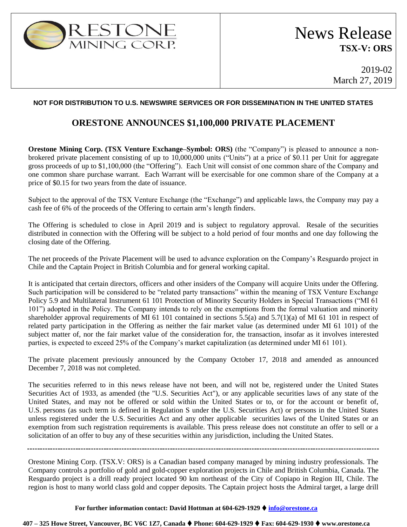

2019-02 March 27, 2019

## **NOT FOR DISTRIBUTION TO U.S. NEWSWIRE SERVICES OR FOR DISSEMINATION IN THE UNITED STATES**

## **ORESTONE ANNOUNCES \$1,100,000 PRIVATE PLACEMENT**

**Orestone Mining Corp. (TSX Venture Exchange–Symbol: ORS)** (the "Company") is pleased to announce a nonbrokered private placement consisting of up to 10,000,000 units ("Units") at a price of \$0.11 per Unit for aggregate gross proceeds of up to \$1,100,000 (the "Offering"). Each Unit will consist of one common share of the Company and one common share purchase warrant. Each Warrant will be exercisable for one common share of the Company at a price of \$0.15 for two years from the date of issuance.

Subject to the approval of the TSX Venture Exchange (the "Exchange") and applicable laws, the Company may pay a cash fee of 6% of the proceeds of the Offering to certain arm's length finders.

The Offering is scheduled to close in April 2019 and is subject to regulatory approval. Resale of the securities distributed in connection with the Offering will be subject to a hold period of four months and one day following the closing date of the Offering.

The net proceeds of the Private Placement will be used to advance exploration on the Company's Resguardo project in Chile and the Captain Project in British Columbia and for general working capital.

It is anticipated that certain directors, officers and other insiders of the Company will acquire Units under the Offering. Such participation will be considered to be "related party transactions" within the meaning of TSX Venture Exchange Policy 5.9 and Multilateral Instrument 61 101 Protection of Minority Security Holders in Special Transactions ("MI 61 101") adopted in the Policy. The Company intends to rely on the exemptions from the formal valuation and minority shareholder approval requirements of MI 61 101 contained in sections 5.5(a) and 5.7(1)(a) of MI 61 101 in respect of related party participation in the Offering as neither the fair market value (as determined under MI 61 101) of the subject matter of, nor the fair market value of the consideration for, the transaction, insofar as it involves interested parties, is expected to exceed 25% of the Company's market capitalization (as determined under MI 61 101).

The private placement previously announced by the Company October 17, 2018 and amended as announced December 7, 2018 was not completed.

The securities referred to in this news release have not been, and will not be, registered under the United States Securities Act of 1933, as amended (the "U.S. Securities Act"), or any applicable securities laws of any state of the United States, and may not be offered or sold within the United States or to, or for the account or benefit of, U.S. persons (as such term is defined in Regulation S under the U.S. Securities Act) or persons in the United States unless registered under the U.S. Securities Act and any other applicable securities laws of the United States or an exemption from such registration requirements is available. This press release does not constitute an offer to sell or a solicitation of an offer to buy any of these securities within any jurisdiction, including the United States.

Orestone Mining Corp. (TSX.V: ORS) is a Canadian based company managed by mining industry professionals. The Company controls a portfolio of gold and gold-copper exploration projects in Chile and British Columbia, Canada. The Resguardo project is a drill ready project located 90 km northeast of the City of Copiapo in Region III, Chile. The region is host to many world class gold and copper deposits. The Captain project hosts the Admiral target, a large drill

#### **For further information contact: David Hottman at 604-629-1929** ⧫ **[info@orestone.ca](mailto:info@orestone.ca)**